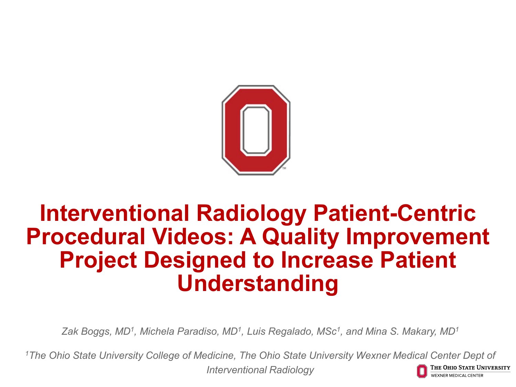

## **Interventional Radiology Patient-Centric Procedural Videos: A Quality Improvement Project Designed to Increase Patient Understanding**

*Zak Boggs, MD1, Michela Paradiso, MD1, Luis Regalado, MSc1, and Mina S. Makary, MD1*

*1The Ohio State University College of Medicine, The Ohio State University Wexner Medical Center Dept of*  The Ohio State University *Interventional Radiology* EXNER MEDICAL CENTER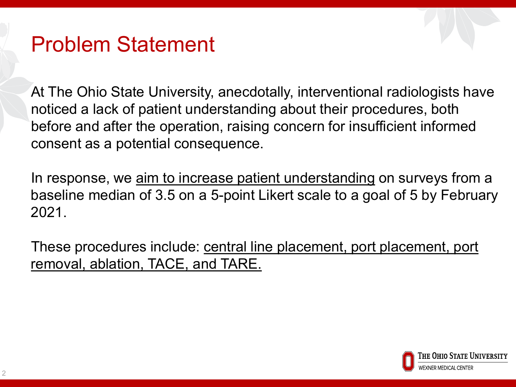### Problem Statement

At The Ohio State University, anecdotally, interventional radiologists have noticed a lack of patient understanding about their procedures, both before and after the operation, raising concern for insufficient informed consent as a potential consequence.

In response, we aim to increase patient understanding on surveys from a baseline median of 3.5 on a 5-point Likert scale to a goal of 5 by February 2021.

These procedures include: central line placement, port placement, port removal, ablation, TACE, and TARE.

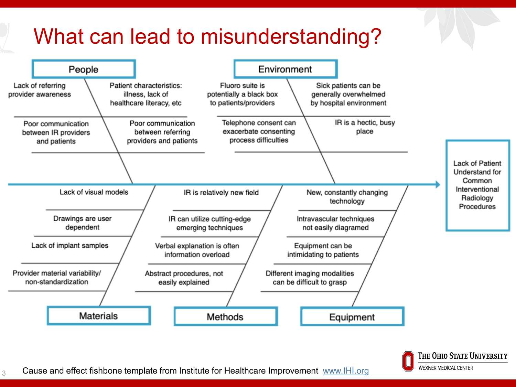# What can lead to misunderstanding?



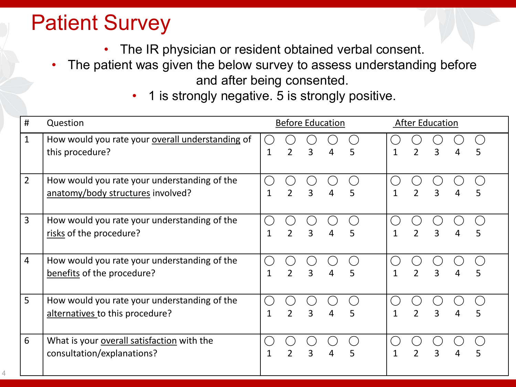# Patient Survey

4

- The IR physician or resident obtained verbal consent.
- The patient was given the below survey to assess understanding before and after being consented.
	- 1 is strongly negative. 5 is strongly positive.

| #              | Question                                                                          | <b>Before Education</b> |                |   |   |   |  | <b>After Education</b> |                          |   |   |   |
|----------------|-----------------------------------------------------------------------------------|-------------------------|----------------|---|---|---|--|------------------------|--------------------------|---|---|---|
| $\mathbf{1}$   | How would you rate your overall understanding of<br>this procedure?               | 1                       | $\overline{2}$ | 3 | 4 | 5 |  |                        | $\overline{2}$           | 3 | 4 | 5 |
| $\overline{2}$ | How would you rate your understanding of the<br>anatomy/body structures involved? | 1                       | $\overline{2}$ | 3 | 4 | 5 |  |                        | $\mathfrak{D}$           | 3 | 4 | 5 |
| $\overline{3}$ | How would you rate your understanding of the<br>risks of the procedure?           | 1                       | $\mathcal{P}$  | 3 | 4 | 5 |  | $\mathbf{1}$           | $\overline{\phantom{a}}$ | 3 | 4 | 5 |
| $\overline{4}$ | How would you rate your understanding of the<br>benefits of the procedure?        | 1                       | $\overline{2}$ | 3 | 4 | 5 |  |                        | $\overline{2}$           | 3 | 4 | 5 |
| 5              | How would you rate your understanding of the<br>alternatives to this procedure?   | $\mathbf 1$             | $\overline{2}$ | 3 | 4 | 5 |  | 1                      | $\overline{2}$           | 3 | 4 | 5 |
| 6              | What is your overall satisfaction with the<br>consultation/explanations?          | 1                       | $\mathfrak{D}$ | 3 |   | 5 |  |                        | $\mathfrak{D}$           |   |   | 5 |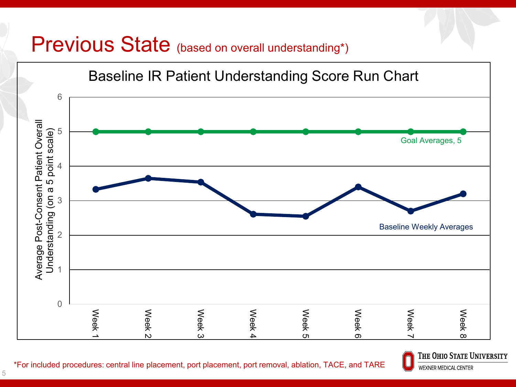#### Previous State (based on overall understanding\*)





\*For included procedures: central line placement, port placement, port removal, ablation, TACE, and TARE

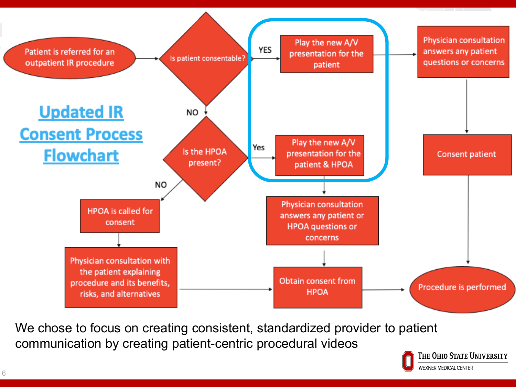

We chose to focus on creating consistent, standardized provider to patient communication by creating patient-centric procedural videos

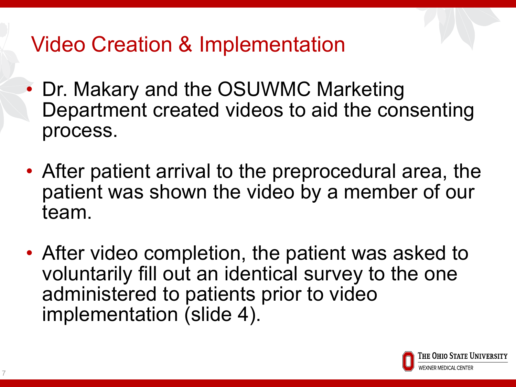# Video Creation & Implementation

- Dr. Makary and the OSUWMC Marketing Department created videos to aid the consenting process.
- After patient arrival to the preprocedural area, the patient was shown the video by a member of our team.
- After video completion, the patient was asked to voluntarily fill out an identical survey to the one administered to patients prior to video implementation (slide 4).

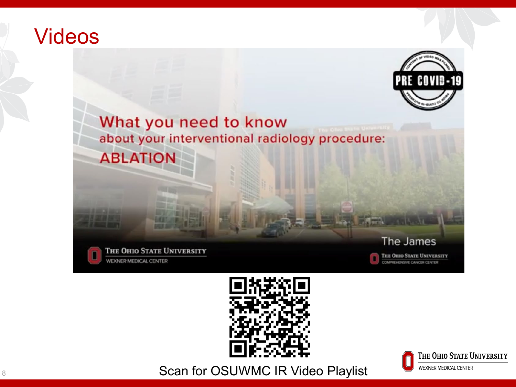#### Videos



What you need to know about your interventional radiology procedure: **ABLATION** 









8 8 Scan for OSUWMC IR Video Playlist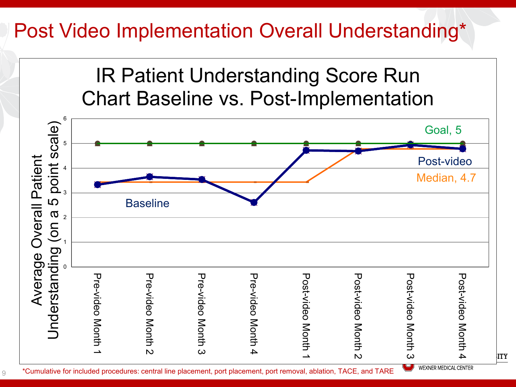### Post Video Implementation Overall Understanding\*

IR Patient Understanding Score Run Chart Baseline vs. Post-Implementation



9

**WEXNER MEDICAL CENTER**